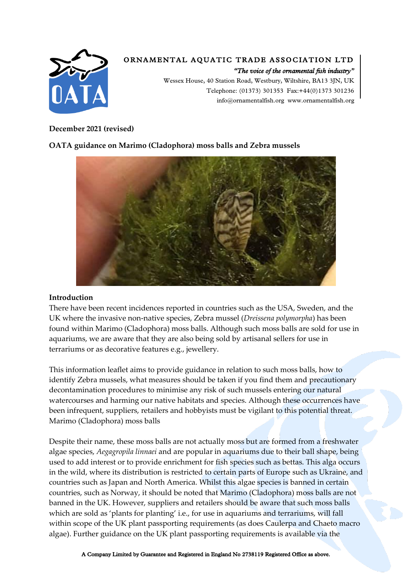

# *ORNAMENTAL AQUATIC TRADE ASSOCIATION LTD*

*"The voice of the ornamental fish industry" Wessex House, 40 Station Road, Westbury, Wiltshire, BA13 3JN, UK Telephone: (01373) 301353 Fax:+44(0)1373 301236 info@ornamentalfish.org www.ornamentalfish.org*

# **December 2021 (revised)**

# **OATA guidance on Marimo (Cladophora) moss balls and Zebra mussels**



#### **Introduction**

There have been recent incidences reported in countries such as the USA, Sweden, and the UK where the invasive non-native species, Zebra mussel (*Dreissena polymorpha*) has been found within Marimo (Cladophora) moss balls. Although such moss balls are sold for use in aquariums, we are aware that they are also being sold by artisanal sellers for use in terrariums or as decorative features e.g., jewellery.

This information leaflet aims to provide guidance in relation to such moss balls, how to identify Zebra mussels, what measures should be taken if you find them and precautionary decontamination procedures to minimise any risk of such mussels entering our natural watercourses and harming our native habitats and species. Although these occurrences have been infrequent, suppliers, retailers and hobbyists must be vigilant to this potential threat. Marimo (Cladophora) moss balls

Despite their name, these moss balls are not actually moss but are formed from a freshwater algae species, *Aegagropila linnaei* and are popular in aquariums due to their ball shape, being used to add interest or to provide enrichment for fish species such as bettas. This alga occurs in the wild, where its distribution is restricted to certain parts of Europe such as Ukraine, and countries such as Japan and North America. Whilst this algae species is banned in certain countries, such as Norway, it should be noted that Marimo (Cladophora) moss balls are not banned in the UK. However, suppliers and retailers should be aware that such moss balls which are sold as 'plants for planting' i.e., for use in aquariums and terrariums, will fall within scope of the UK plant passporting requirements (as does Caulerpa and Chaeto macro algae). Further guidance on the UK plant passporting requirements is available via the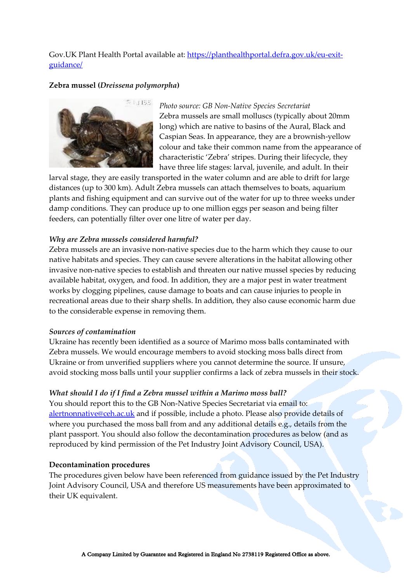# Gov. UK Plant Health Portal available at: [https://planthealthportal.defra.gov.uk/eu-exit](https://planthealthportal.defra.gov.uk/eu-exit-guidance/)[guidance/](https://planthealthportal.defra.gov.uk/eu-exit-guidance/)

# **Zebra mussel (***Dreissena polymorpha***)**



*Photo source: GB Non-Native Species Secretariat* Zebra mussels are small molluscs (typically about 20mm long) which are native to basins of the Aural, Black and Caspian Seas. In appearance, they are a brownish-yellow colour and take their common name from the appearance of characteristic 'Zebra' stripes. During their lifecycle, they have three life stages: larval, juvenile, and adult. In their

larval stage, they are easily transported in the water column and are able to drift for large distances (up to 300 km). Adult Zebra mussels can attach themselves to boats, aquarium plants and fishing equipment and can survive out of the water for up to three weeks under damp conditions. They can produce up to one million eggs per season and being filter feeders, can potentially filter over one litre of water per day.

#### *Why are Zebra mussels considered harmful?*

Zebra mussels are an invasive non-native species due to the harm which they cause to our native habitats and species. They can cause severe alterations in the habitat allowing other invasive non-native species to establish and threaten our native mussel species by reducing available habitat, oxygen, and food. In addition, they are a major pest in water treatment works by clogging pipelines, cause damage to boats and can cause injuries to people in recreational areas due to their sharp shells. In addition, they also cause economic harm due to the considerable expense in removing them.

#### *Sources of contamination*

Ukraine has recently been identified as a source of Marimo moss balls contaminated with Zebra mussels. We would encourage members to avoid stocking moss balls direct from Ukraine or from unverified suppliers where you cannot determine the source. If unsure, avoid stocking moss balls until your supplier confirms a lack of zebra mussels in their stock.

#### *What should I do if I find a Zebra mussel within a Marimo moss ball?*

You should report this to the GB Non-Native Species Secretariat via email to: [alertnonnative@ceh.ac.uk](mailto:alertnonnative@ceh.ac.uk) and if possible, include a photo. Please also provide details of where you purchased the moss ball from and any additional details e.g., details from the plant passport. You should also follow the decontamination procedures as below (and as reproduced by kind permission of the Pet Industry Joint Advisory Council, USA).

#### **Decontamination procedures**

The procedures given below have been referenced from guidance issued by the Pet Industry Joint Advisory Council, USA and therefore US measurements have been approximated to their UK equivalent.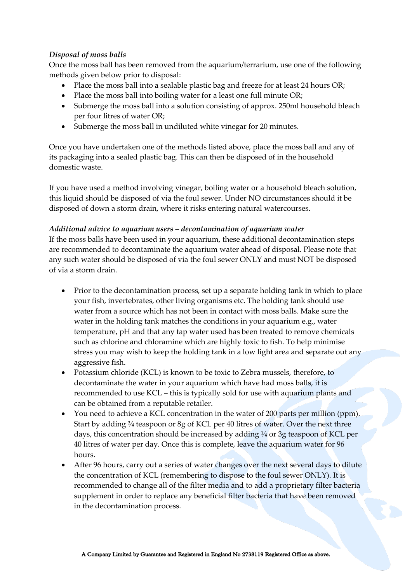# *Disposal of moss balls*

Once the moss ball has been removed from the aquarium/terrarium, use one of the following methods given below prior to disposal:

- Place the moss ball into a sealable plastic bag and freeze for at least 24 hours OR;
- Place the moss ball into boiling water for a least one full minute OR;
- Submerge the moss ball into a solution consisting of approx. 250ml household bleach per four litres of water OR;
- Submerge the moss ball in undiluted white vinegar for 20 minutes.

Once you have undertaken one of the methods listed above, place the moss ball and any of its packaging into a sealed plastic bag. This can then be disposed of in the household domestic waste.

If you have used a method involving vinegar, boiling water or a household bleach solution, this liquid should be disposed of via the foul sewer. Under NO circumstances should it be disposed of down a storm drain, where it risks entering natural watercourses.

# *Additional advice to aquarium users – decontamination of aquarium water*

If the moss balls have been used in your aquarium, these additional decontamination steps are recommended to decontaminate the aquarium water ahead of disposal. Please note that any such water should be disposed of via the foul sewer ONLY and must NOT be disposed of via a storm drain.

- Prior to the decontamination process, set up a separate holding tank in which to place your fish, invertebrates, other living organisms etc. The holding tank should use water from a source which has not been in contact with moss balls. Make sure the water in the holding tank matches the conditions in your aquarium e.g., water temperature, pH and that any tap water used has been treated to remove chemicals such as chlorine and chloramine which are highly toxic to fish. To help minimise stress you may wish to keep the holding tank in a low light area and separate out any aggressive fish.
- Potassium chloride (KCL) is known to be toxic to Zebra mussels, therefore, to decontaminate the water in your aquarium which have had moss balls, it is recommended to use KCL – this is typically sold for use with aquarium plants and can be obtained from a reputable retailer.
- You need to achieve a KCL concentration in the water of 200 parts per million (ppm). Start by adding ¾ teaspoon or 8g of KCL per 40 litres of water. Over the next three days, this concentration should be increased by adding ¼ or 3g teaspoon of KCL per 40 litres of water per day. Once this is complete, leave the aquarium water for 96 hours.
- After 96 hours, carry out a series of water changes over the next several days to dilute the concentration of KCL (remembering to dispose to the foul sewer ONLY). It is recommended to change all of the filter media and to add a proprietary filter bacteria supplement in order to replace any beneficial filter bacteria that have been removed in the decontamination process.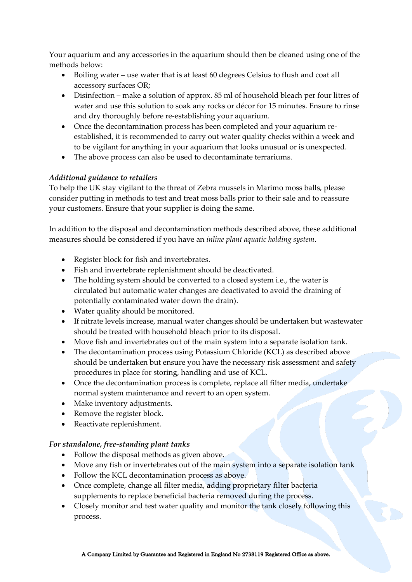Your aquarium and any accessories in the aquarium should then be cleaned using one of the methods below:

- Boiling water use water that is at least 60 degrees Celsius to flush and coat all accessory surfaces OR;
- Disinfection make a solution of approx. 85 ml of household bleach per four litres of water and use this solution to soak any rocks or décor for 15 minutes. Ensure to rinse and dry thoroughly before re-establishing your aquarium.
- Once the decontamination process has been completed and your aquarium reestablished, it is recommended to carry out water quality checks within a week and to be vigilant for anything in your aquarium that looks unusual or is unexpected.
- The above process can also be used to decontaminate terrariums.

# *Additional guidance to retailers*

To help the UK stay vigilant to the threat of Zebra mussels in Marimo moss balls, please consider putting in methods to test and treat moss balls prior to their sale and to reassure your customers. Ensure that your supplier is doing the same.

In addition to the disposal and decontamination methods described above, these additional measures should be considered if you have an *inline plant aquatic holding system*.

- Register block for fish and invertebrates.
- Fish and invertebrate replenishment should be deactivated.
- The holding system should be converted to a closed system i.e., the water is circulated but automatic water changes are deactivated to avoid the draining of potentially contaminated water down the drain).
- Water quality should be monitored.
- If nitrate levels increase, manual water changes should be undertaken but wastewater should be treated with household bleach prior to its disposal.
- Move fish and invertebrates out of the main system into a separate isolation tank.
- The decontamination process using Potassium Chloride (KCL) as described above should be undertaken but ensure you have the necessary risk assessment and safety procedures in place for storing, handling and use of KCL.
- Once the decontamination process is complete, replace all filter media, undertake normal system maintenance and revert to an open system.
- Make inventory adjustments.
- Remove the register block.
- Reactivate replenishment.

# *For standalone, free-standing plant tanks*

- Follow the disposal methods as given above.
- Move any fish or invertebrates out of the main system into a separate isolation tank
- Follow the KCL decontamination process as above.
- Once complete, change all filter media, adding proprietary filter bacteria supplements to replace beneficial bacteria removed during the process.
- Closely monitor and test water quality and monitor the tank closely following this process.